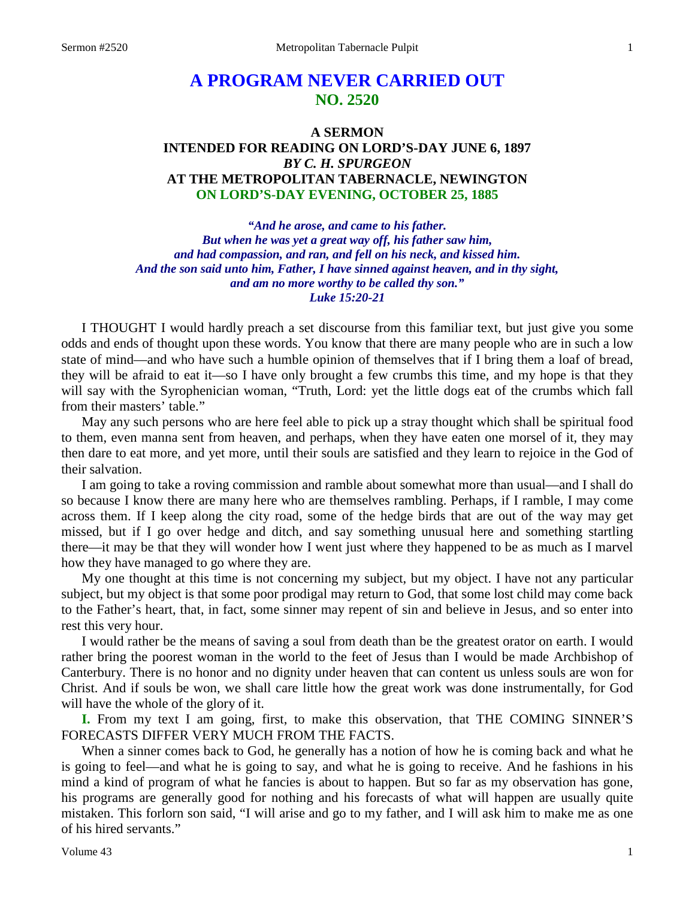# **A PROGRAM NEVER CARRIED OUT NO. 2520**

### **A SERMON INTENDED FOR READING ON LORD'S-DAY JUNE 6, 1897** *BY C. H. SPURGEON* **AT THE METROPOLITAN TABERNACLE, NEWINGTON ON LORD'S-DAY EVENING, OCTOBER 25, 1885**

*"And he arose, and came to his father. But when he was yet a great way off, his father saw him, and had compassion, and ran, and fell on his neck, and kissed him. And the son said unto him, Father, I have sinned against heaven, and in thy sight, and am no more worthy to be called thy son." Luke 15:20-21*

I THOUGHT I would hardly preach a set discourse from this familiar text, but just give you some odds and ends of thought upon these words. You know that there are many people who are in such a low state of mind—and who have such a humble opinion of themselves that if I bring them a loaf of bread, they will be afraid to eat it—so I have only brought a few crumbs this time, and my hope is that they will say with the Syrophenician woman, "Truth, Lord: yet the little dogs eat of the crumbs which fall from their masters' table."

May any such persons who are here feel able to pick up a stray thought which shall be spiritual food to them, even manna sent from heaven, and perhaps, when they have eaten one morsel of it, they may then dare to eat more, and yet more, until their souls are satisfied and they learn to rejoice in the God of their salvation.

I am going to take a roving commission and ramble about somewhat more than usual—and I shall do so because I know there are many here who are themselves rambling. Perhaps, if I ramble, I may come across them. If I keep along the city road, some of the hedge birds that are out of the way may get missed, but if I go over hedge and ditch, and say something unusual here and something startling there—it may be that they will wonder how I went just where they happened to be as much as I marvel how they have managed to go where they are.

My one thought at this time is not concerning my subject, but my object. I have not any particular subject, but my object is that some poor prodigal may return to God, that some lost child may come back to the Father's heart, that, in fact, some sinner may repent of sin and believe in Jesus, and so enter into rest this very hour.

I would rather be the means of saving a soul from death than be the greatest orator on earth. I would rather bring the poorest woman in the world to the feet of Jesus than I would be made Archbishop of Canterbury. There is no honor and no dignity under heaven that can content us unless souls are won for Christ. And if souls be won, we shall care little how the great work was done instrumentally, for God will have the whole of the glory of it.

**I.** From my text I am going, first, to make this observation, that THE COMING SINNER'S FORECASTS DIFFER VERY MUCH FROM THE FACTS.

When a sinner comes back to God, he generally has a notion of how he is coming back and what he is going to feel—and what he is going to say, and what he is going to receive. And he fashions in his mind a kind of program of what he fancies is about to happen. But so far as my observation has gone, his programs are generally good for nothing and his forecasts of what will happen are usually quite mistaken. This forlorn son said, "I will arise and go to my father, and I will ask him to make me as one of his hired servants."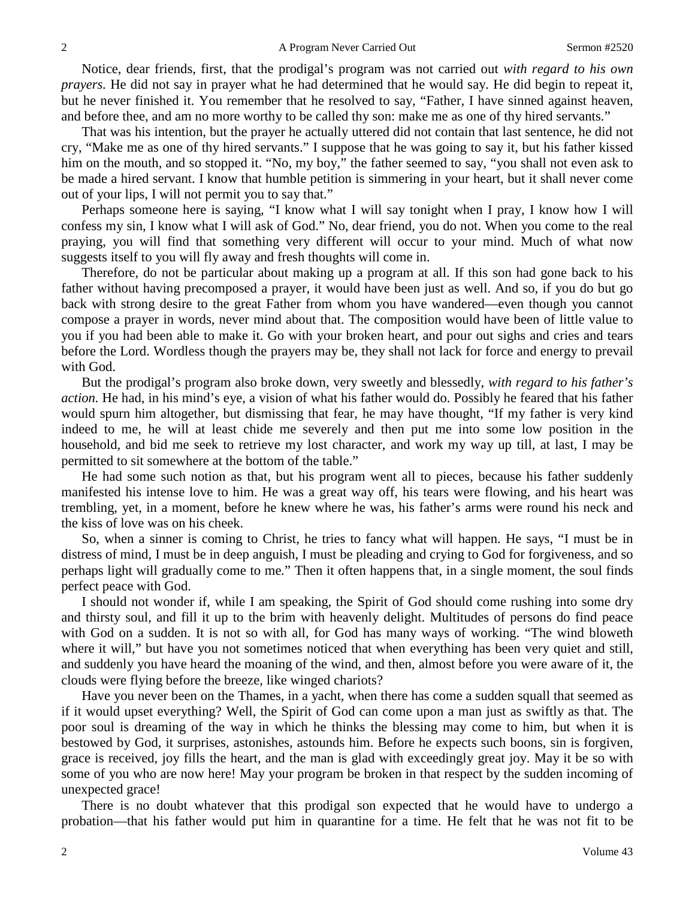Notice, dear friends, first, that the prodigal's program was not carried out *with regard to his own prayers.* He did not say in prayer what he had determined that he would say. He did begin to repeat it, but he never finished it. You remember that he resolved to say, "Father, I have sinned against heaven, and before thee, and am no more worthy to be called thy son: make me as one of thy hired servants."

That was his intention, but the prayer he actually uttered did not contain that last sentence, he did not cry, "Make me as one of thy hired servants." I suppose that he was going to say it, but his father kissed him on the mouth, and so stopped it. "No, my boy," the father seemed to say, "you shall not even ask to be made a hired servant. I know that humble petition is simmering in your heart, but it shall never come out of your lips, I will not permit you to say that."

Perhaps someone here is saying, "I know what I will say tonight when I pray, I know how I will confess my sin, I know what I will ask of God." No, dear friend, you do not. When you come to the real praying, you will find that something very different will occur to your mind. Much of what now suggests itself to you will fly away and fresh thoughts will come in.

Therefore, do not be particular about making up a program at all. If this son had gone back to his father without having precomposed a prayer, it would have been just as well. And so, if you do but go back with strong desire to the great Father from whom you have wandered—even though you cannot compose a prayer in words, never mind about that. The composition would have been of little value to you if you had been able to make it. Go with your broken heart, and pour out sighs and cries and tears before the Lord. Wordless though the prayers may be, they shall not lack for force and energy to prevail with God.

But the prodigal's program also broke down, very sweetly and blessedly, *with regard to his father's action.* He had, in his mind's eye, a vision of what his father would do. Possibly he feared that his father would spurn him altogether, but dismissing that fear, he may have thought, "If my father is very kind indeed to me, he will at least chide me severely and then put me into some low position in the household, and bid me seek to retrieve my lost character, and work my way up till, at last, I may be permitted to sit somewhere at the bottom of the table."

He had some such notion as that, but his program went all to pieces, because his father suddenly manifested his intense love to him. He was a great way off, his tears were flowing, and his heart was trembling, yet, in a moment, before he knew where he was, his father's arms were round his neck and the kiss of love was on his cheek.

So, when a sinner is coming to Christ, he tries to fancy what will happen. He says, "I must be in distress of mind, I must be in deep anguish, I must be pleading and crying to God for forgiveness, and so perhaps light will gradually come to me*.*" Then it often happens that, in a single moment, the soul finds perfect peace with God.

I should not wonder if, while I am speaking, the Spirit of God should come rushing into some dry and thirsty soul, and fill it up to the brim with heavenly delight. Multitudes of persons do find peace with God on a sudden. It is not so with all, for God has many ways of working. "The wind bloweth where it will," but have you not sometimes noticed that when everything has been very quiet and still, and suddenly you have heard the moaning of the wind, and then, almost before you were aware of it, the clouds were flying before the breeze, like winged chariots?

Have you never been on the Thames, in a yacht, when there has come a sudden squall that seemed as if it would upset everything? Well, the Spirit of God can come upon a man just as swiftly as that. The poor soul is dreaming of the way in which he thinks the blessing may come to him, but when it is bestowed by God, it surprises, astonishes, astounds him. Before he expects such boons, sin is forgiven, grace is received, joy fills the heart, and the man is glad with exceedingly great joy. May it be so with some of you who are now here! May your program be broken in that respect by the sudden incoming of unexpected grace!

There is no doubt whatever that this prodigal son expected that he would have to undergo a probation—that his father would put him in quarantine for a time. He felt that he was not fit to be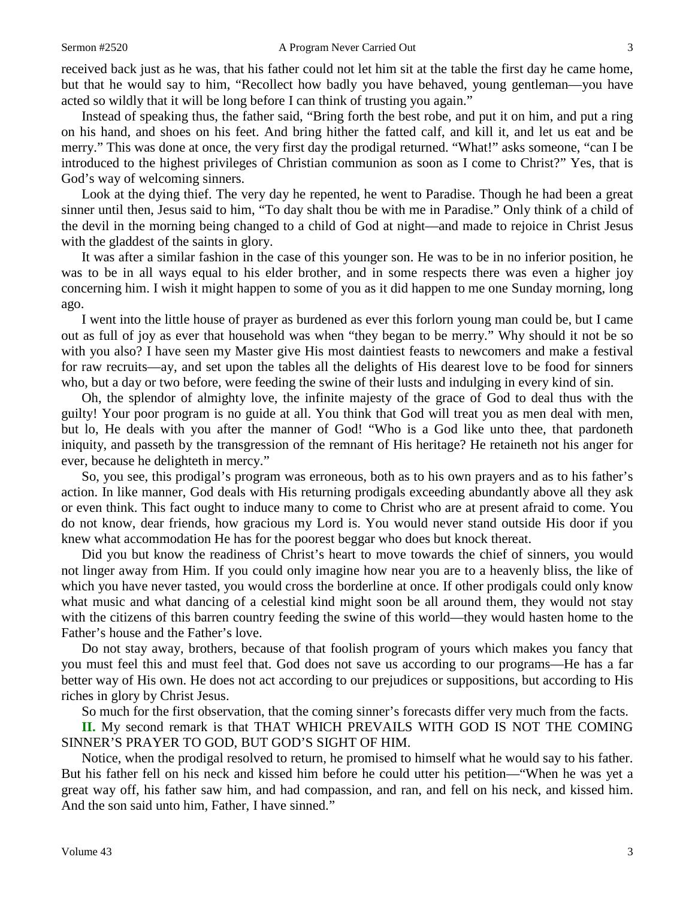received back just as he was, that his father could not let him sit at the table the first day he came home, but that he would say to him, "Recollect how badly you have behaved, young gentleman—you have acted so wildly that it will be long before I can think of trusting you again."

Instead of speaking thus, the father said, "Bring forth the best robe, and put it on him, and put a ring on his hand, and shoes on his feet. And bring hither the fatted calf, and kill it, and let us eat and be merry." This was done at once, the very first day the prodigal returned. "What!" asks someone, "can I be introduced to the highest privileges of Christian communion as soon as I come to Christ?" Yes, that is God's way of welcoming sinners.

Look at the dying thief. The very day he repented, he went to Paradise. Though he had been a great sinner until then, Jesus said to him, "To day shalt thou be with me in Paradise." Only think of a child of the devil in the morning being changed to a child of God at night—and made to rejoice in Christ Jesus with the gladdest of the saints in glory.

It was after a similar fashion in the case of this younger son. He was to be in no inferior position, he was to be in all ways equal to his elder brother, and in some respects there was even a higher joy concerning him. I wish it might happen to some of you as it did happen to me one Sunday morning, long ago.

I went into the little house of prayer as burdened as ever this forlorn young man could be, but I came out as full of joy as ever that household was when "they began to be merry." Why should it not be so with you also? I have seen my Master give His most daintiest feasts to newcomers and make a festival for raw recruits—ay, and set upon the tables all the delights of His dearest love to be food for sinners who, but a day or two before, were feeding the swine of their lusts and indulging in every kind of sin.

Oh, the splendor of almighty love, the infinite majesty of the grace of God to deal thus with the guilty! Your poor program is no guide at all. You think that God will treat you as men deal with men, but lo, He deals with you after the manner of God! "Who is a God like unto thee, that pardoneth iniquity, and passeth by the transgression of the remnant of His heritage? He retaineth not his anger for ever, because he delighteth in mercy."

So, you see, this prodigal's program was erroneous, both as to his own prayers and as to his father's action. In like manner, God deals with His returning prodigals exceeding abundantly above all they ask or even think. This fact ought to induce many to come to Christ who are at present afraid to come. You do not know, dear friends, how gracious my Lord is. You would never stand outside His door if you knew what accommodation He has for the poorest beggar who does but knock thereat.

Did you but know the readiness of Christ's heart to move towards the chief of sinners, you would not linger away from Him. If you could only imagine how near you are to a heavenly bliss, the like of which you have never tasted, you would cross the borderline at once. If other prodigals could only know what music and what dancing of a celestial kind might soon be all around them, they would not stay with the citizens of this barren country feeding the swine of this world—they would hasten home to the Father's house and the Father's love.

Do not stay away, brothers, because of that foolish program of yours which makes you fancy that you must feel this and must feel that. God does not save us according to our programs—He has a far better way of His own. He does not act according to our prejudices or suppositions, but according to His riches in glory by Christ Jesus.

So much for the first observation, that the coming sinner's forecasts differ very much from the facts.

**II.** My second remark is that THAT WHICH PREVAILS WITH GOD IS NOT THE COMING SINNER'S PRAYER TO GOD, BUT GOD'S SIGHT OF HIM.

Notice, when the prodigal resolved to return, he promised to himself what he would say to his father. But his father fell on his neck and kissed him before he could utter his petition—"When he was yet a great way off, his father saw him, and had compassion, and ran, and fell on his neck, and kissed him. And the son said unto him, Father, I have sinned."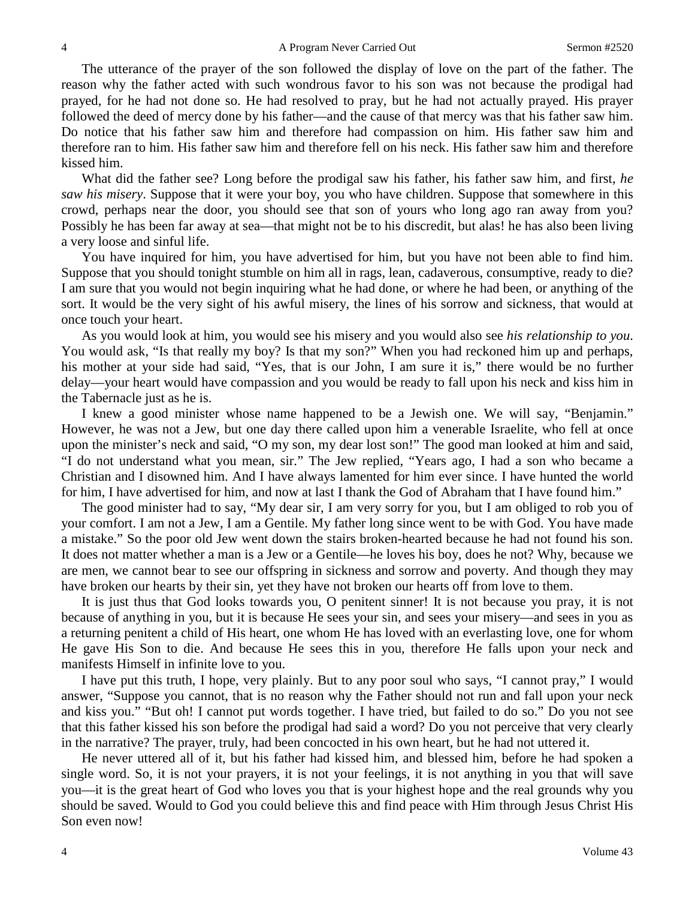The utterance of the prayer of the son followed the display of love on the part of the father. The reason why the father acted with such wondrous favor to his son was not because the prodigal had prayed, for he had not done so. He had resolved to pray, but he had not actually prayed. His prayer followed the deed of mercy done by his father—and the cause of that mercy was that his father saw him. Do notice that his father saw him and therefore had compassion on him. His father saw him and therefore ran to him. His father saw him and therefore fell on his neck. His father saw him and therefore kissed him.

What did the father see? Long before the prodigal saw his father, his father saw him, and first, *he saw his misery*. Suppose that it were your boy, you who have children. Suppose that somewhere in this crowd, perhaps near the door, you should see that son of yours who long ago ran away from you? Possibly he has been far away at sea—that might not be to his discredit, but alas! he has also been living a very loose and sinful life.

You have inquired for him, you have advertised for him, but you have not been able to find him. Suppose that you should tonight stumble on him all in rags, lean, cadaverous, consumptive, ready to die? I am sure that you would not begin inquiring what he had done, or where he had been, or anything of the sort. It would be the very sight of his awful misery, the lines of his sorrow and sickness, that would at once touch your heart.

As you would look at him, you would see his misery and you would also see *his relationship to you*. You would ask, "Is that really my boy? Is that my son?" When you had reckoned him up and perhaps, his mother at your side had said, "Yes, that is our John, I am sure it is," there would be no further delay—your heart would have compassion and you would be ready to fall upon his neck and kiss him in the Tabernacle just as he is.

I knew a good minister whose name happened to be a Jewish one. We will say, "Benjamin." However, he was not a Jew, but one day there called upon him a venerable Israelite, who fell at once upon the minister's neck and said, "O my son, my dear lost son!" The good man looked at him and said, "I do not understand what you mean, sir." The Jew replied, "Years ago, I had a son who became a Christian and I disowned him. And I have always lamented for him ever since. I have hunted the world for him, I have advertised for him, and now at last I thank the God of Abraham that I have found him."

The good minister had to say, "My dear sir, I am very sorry for you, but I am obliged to rob you of your comfort. I am not a Jew, I am a Gentile. My father long since went to be with God. You have made a mistake." So the poor old Jew went down the stairs broken-hearted because he had not found his son. It does not matter whether a man is a Jew or a Gentile—he loves his boy, does he not? Why, because we are men, we cannot bear to see our offspring in sickness and sorrow and poverty. And though they may have broken our hearts by their sin, yet they have not broken our hearts off from love to them.

It is just thus that God looks towards you, O penitent sinner! It is not because you pray, it is not because of anything in you, but it is because He sees your sin, and sees your misery—and sees in you as a returning penitent a child of His heart, one whom He has loved with an everlasting love, one for whom He gave His Son to die. And because He sees this in you, therefore He falls upon your neck and manifests Himself in infinite love to you.

I have put this truth, I hope, very plainly. But to any poor soul who says, "I cannot pray," I would answer, "Suppose you cannot, that is no reason why the Father should not run and fall upon your neck and kiss you." "But oh! I cannot put words together. I have tried, but failed to do so." Do you not see that this father kissed his son before the prodigal had said a word? Do you not perceive that very clearly in the narrative? The prayer, truly, had been concocted in his own heart, but he had not uttered it.

He never uttered all of it, but his father had kissed him, and blessed him, before he had spoken a single word. So, it is not your prayers, it is not your feelings, it is not anything in you that will save you—it is the great heart of God who loves you that is your highest hope and the real grounds why you should be saved. Would to God you could believe this and find peace with Him through Jesus Christ His Son even now!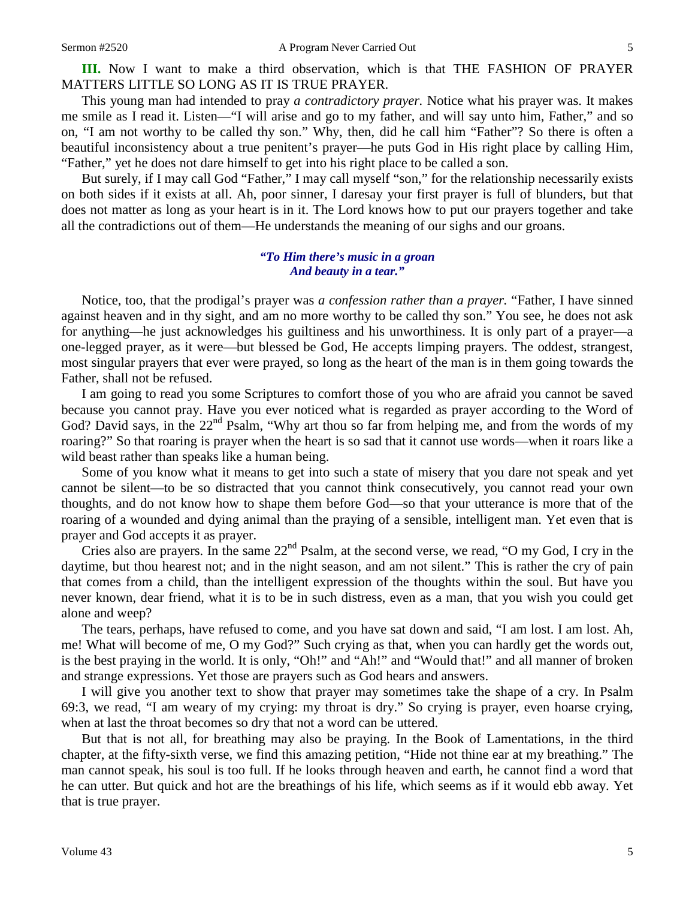This young man had intended to pray *a contradictory prayer.* Notice what his prayer was. It makes me smile as I read it. Listen—"I will arise and go to my father, and will say unto him, Father," and so on, "I am not worthy to be called thy son." Why, then, did he call him "Father"? So there is often a beautiful inconsistency about a true penitent's prayer—he puts God in His right place by calling Him, "Father," yet he does not dare himself to get into his right place to be called a son.

But surely, if I may call God "Father," I may call myself "son," for the relationship necessarily exists on both sides if it exists at all. Ah, poor sinner, I daresay your first prayer is full of blunders, but that does not matter as long as your heart is in it. The Lord knows how to put our prayers together and take all the contradictions out of them—He understands the meaning of our sighs and our groans.

#### *"To Him there's music in a groan And beauty in a tear."*

Notice, too, that the prodigal's prayer was *a confession rather than a prayer.* "Father, I have sinned against heaven and in thy sight, and am no more worthy to be called thy son." You see, he does not ask for anything—he just acknowledges his guiltiness and his unworthiness. It is only part of a prayer—a one-legged prayer, as it were—but blessed be God, He accepts limping prayers. The oddest, strangest, most singular prayers that ever were prayed, so long as the heart of the man is in them going towards the Father, shall not be refused.

I am going to read you some Scriptures to comfort those of you who are afraid you cannot be saved because you cannot pray. Have you ever noticed what is regarded as prayer according to the Word of God? David says, in the  $22<sup>nd</sup>$  Psalm, "Why art thou so far from helping me, and from the words of my roaring?" So that roaring is prayer when the heart is so sad that it cannot use words—when it roars like a wild beast rather than speaks like a human being.

Some of you know what it means to get into such a state of misery that you dare not speak and yet cannot be silent—to be so distracted that you cannot think consecutively, you cannot read your own thoughts, and do not know how to shape them before God—so that your utterance is more that of the roaring of a wounded and dying animal than the praying of a sensible, intelligent man. Yet even that is prayer and God accepts it as prayer.

Cries also are prayers. In the same 22<sup>nd</sup> Psalm, at the second verse, we read, "O my God, I cry in the daytime, but thou hearest not; and in the night season, and am not silent." This is rather the cry of pain that comes from a child, than the intelligent expression of the thoughts within the soul. But have you never known, dear friend, what it is to be in such distress, even as a man, that you wish you could get alone and weep?

The tears, perhaps, have refused to come, and you have sat down and said, "I am lost. I am lost. Ah, me! What will become of me, O my God?" Such crying as that, when you can hardly get the words out, is the best praying in the world. It is only, "Oh!" and "Ah!" and "Would that!" and all manner of broken and strange expressions. Yet those are prayers such as God hears and answers.

I will give you another text to show that prayer may sometimes take the shape of a cry. In Psalm 69:3, we read, "I am weary of my crying: my throat is dry." So crying is prayer, even hoarse crying, when at last the throat becomes so dry that not a word can be uttered.

But that is not all, for breathing may also be praying. In the Book of Lamentations, in the third chapter, at the fifty-sixth verse, we find this amazing petition, "Hide not thine ear at my breathing." The man cannot speak, his soul is too full. If he looks through heaven and earth, he cannot find a word that he can utter. But quick and hot are the breathings of his life, which seems as if it would ebb away. Yet that is true prayer.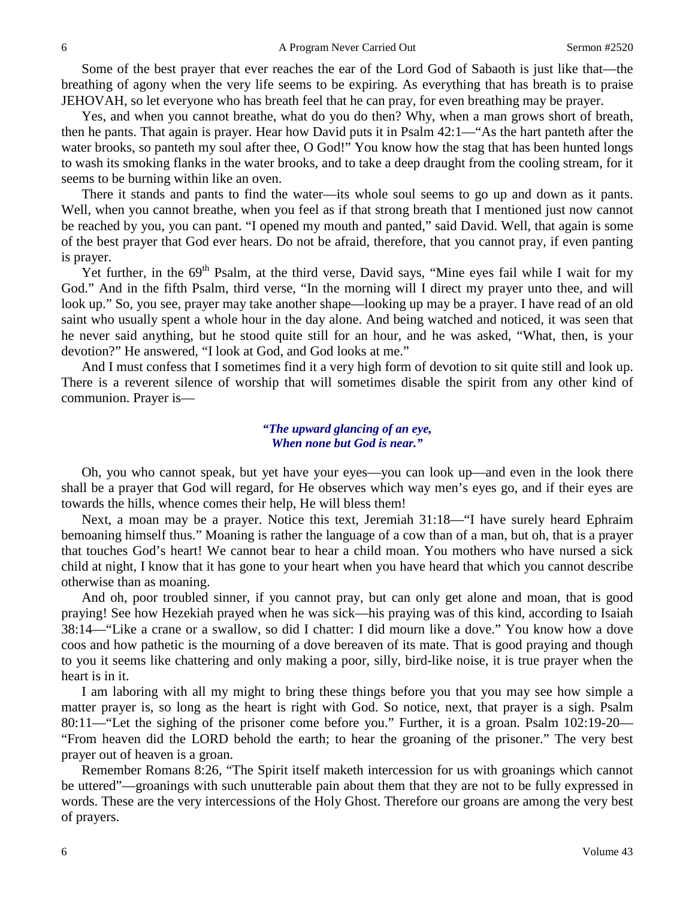Some of the best prayer that ever reaches the ear of the Lord God of Sabaoth is just like that—the breathing of agony when the very life seems to be expiring. As everything that has breath is to praise JEHOVAH, so let everyone who has breath feel that he can pray, for even breathing may be prayer.

Yes, and when you cannot breathe, what do you do then? Why, when a man grows short of breath, then he pants. That again is prayer. Hear how David puts it in Psalm 42:1—"As the hart panteth after the water brooks, so panteth my soul after thee, O God!" You know how the stag that has been hunted longs to wash its smoking flanks in the water brooks, and to take a deep draught from the cooling stream, for it seems to be burning within like an oven.

There it stands and pants to find the water—its whole soul seems to go up and down as it pants. Well, when you cannot breathe, when you feel as if that strong breath that I mentioned just now cannot be reached by you, you can pant. "I opened my mouth and panted," said David. Well, that again is some of the best prayer that God ever hears. Do not be afraid, therefore, that you cannot pray, if even panting is prayer.

Yet further, in the 69<sup>th</sup> Psalm, at the third verse, David says, "Mine eyes fail while I wait for my God." And in the fifth Psalm, third verse, "In the morning will I direct my prayer unto thee, and will look up." So, you see, prayer may take another shape—looking up may be a prayer. I have read of an old saint who usually spent a whole hour in the day alone. And being watched and noticed, it was seen that he never said anything, but he stood quite still for an hour, and he was asked, "What, then, is your devotion?" He answered, "I look at God, and God looks at me."

And I must confess that I sometimes find it a very high form of devotion to sit quite still and look up. There is a reverent silence of worship that will sometimes disable the spirit from any other kind of communion. Prayer is—

#### *"The upward glancing of an eye, When none but God is near."*

Oh, you who cannot speak, but yet have your eyes—you can look up—and even in the look there shall be a prayer that God will regard, for He observes which way men's eyes go, and if their eyes are towards the hills, whence comes their help, He will bless them!

Next, a moan may be a prayer. Notice this text, Jeremiah 31:18—"I have surely heard Ephraim bemoaning himself thus." Moaning is rather the language of a cow than of a man, but oh, that is a prayer that touches God's heart! We cannot bear to hear a child moan. You mothers who have nursed a sick child at night, I know that it has gone to your heart when you have heard that which you cannot describe otherwise than as moaning.

And oh, poor troubled sinner, if you cannot pray, but can only get alone and moan, that is good praying! See how Hezekiah prayed when he was sick—his praying was of this kind, according to Isaiah 38:14—"Like a crane or a swallow, so did I chatter: I did mourn like a dove." You know how a dove coos and how pathetic is the mourning of a dove bereaven of its mate. That is good praying and though to you it seems like chattering and only making a poor, silly, bird-like noise, it is true prayer when the heart is in it.

I am laboring with all my might to bring these things before you that you may see how simple a matter prayer is, so long as the heart is right with God. So notice, next, that prayer is a sigh. Psalm 80:11—"Let the sighing of the prisoner come before you." Further, it is a groan. Psalm 102:19-20— "From heaven did the LORD behold the earth; to hear the groaning of the prisoner." The very best prayer out of heaven is a groan.

Remember Romans 8:26, "The Spirit itself maketh intercession for us with groanings which cannot be uttered"—groanings with such unutterable pain about them that they are not to be fully expressed in words. These are the very intercessions of the Holy Ghost. Therefore our groans are among the very best of prayers.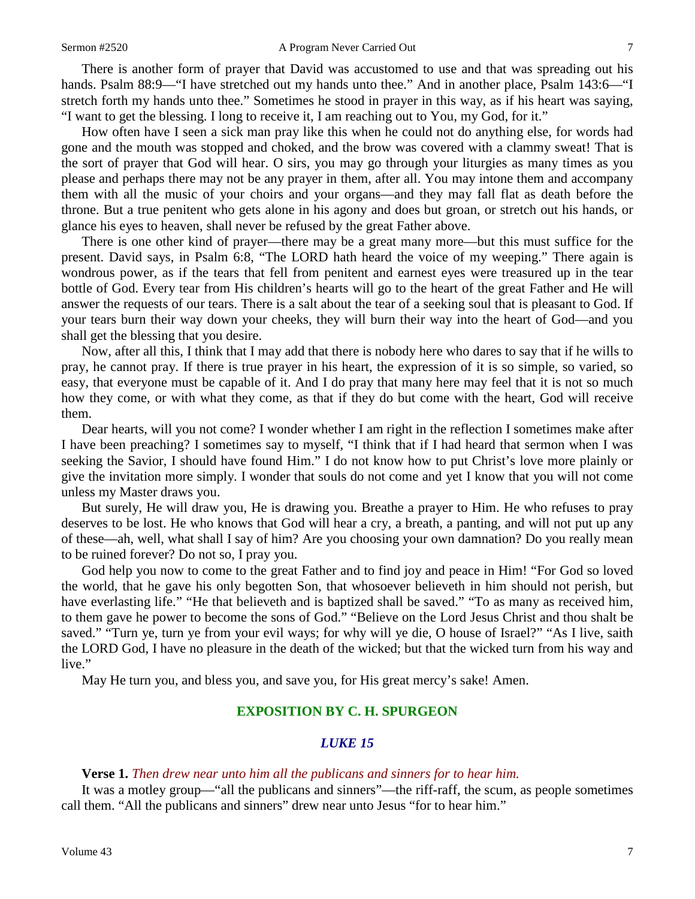There is another form of prayer that David was accustomed to use and that was spreading out his hands. Psalm 88:9—"I have stretched out my hands unto thee." And in another place, Psalm 143:6—"I stretch forth my hands unto thee." Sometimes he stood in prayer in this way, as if his heart was saying, "I want to get the blessing. I long to receive it, I am reaching out to You, my God, for it."

How often have I seen a sick man pray like this when he could not do anything else, for words had gone and the mouth was stopped and choked, and the brow was covered with a clammy sweat! That is the sort of prayer that God will hear. O sirs, you may go through your liturgies as many times as you please and perhaps there may not be any prayer in them, after all. You may intone them and accompany them with all the music of your choirs and your organs—and they may fall flat as death before the throne. But a true penitent who gets alone in his agony and does but groan, or stretch out his hands, or glance his eyes to heaven, shall never be refused by the great Father above.

There is one other kind of prayer—there may be a great many more—but this must suffice for the present. David says, in Psalm 6:8, "The LORD hath heard the voice of my weeping." There again is wondrous power, as if the tears that fell from penitent and earnest eyes were treasured up in the tear bottle of God. Every tear from His children's hearts will go to the heart of the great Father and He will answer the requests of our tears. There is a salt about the tear of a seeking soul that is pleasant to God. If your tears burn their way down your cheeks, they will burn their way into the heart of God—and you shall get the blessing that you desire.

Now, after all this, I think that I may add that there is nobody here who dares to say that if he wills to pray, he cannot pray. If there is true prayer in his heart, the expression of it is so simple, so varied, so easy, that everyone must be capable of it. And I do pray that many here may feel that it is not so much how they come, or with what they come, as that if they do but come with the heart, God will receive them.

Dear hearts, will you not come? I wonder whether I am right in the reflection I sometimes make after I have been preaching? I sometimes say to myself, "I think that if I had heard that sermon when I was seeking the Savior, I should have found Him." I do not know how to put Christ's love more plainly or give the invitation more simply. I wonder that souls do not come and yet I know that you will not come unless my Master draws you.

But surely, He will draw you, He is drawing you. Breathe a prayer to Him. He who refuses to pray deserves to be lost. He who knows that God will hear a cry, a breath, a panting, and will not put up any of these—ah, well, what shall I say of him? Are you choosing your own damnation? Do you really mean to be ruined forever? Do not so, I pray you.

God help you now to come to the great Father and to find joy and peace in Him! "For God so loved the world, that he gave his only begotten Son, that whosoever believeth in him should not perish, but have everlasting life." "He that believeth and is baptized shall be saved." "To as many as received him, to them gave he power to become the sons of God." "Believe on the Lord Jesus Christ and thou shalt be saved." "Turn ye, turn ye from your evil ways; for why will ye die, O house of Israel?" "As I live, saith the LORD God, I have no pleasure in the death of the wicked; but that the wicked turn from his way and live."

May He turn you, and bless you, and save you, for His great mercy's sake! Amen.

### **EXPOSITION BY C. H. SPURGEON**

### *LUKE 15*

#### **Verse 1.** *Then drew near unto him all the publicans and sinners for to hear him.*

It was a motley group—"all the publicans and sinners"—the riff-raff, the scum, as people sometimes call them. "All the publicans and sinners" drew near unto Jesus "for to hear him."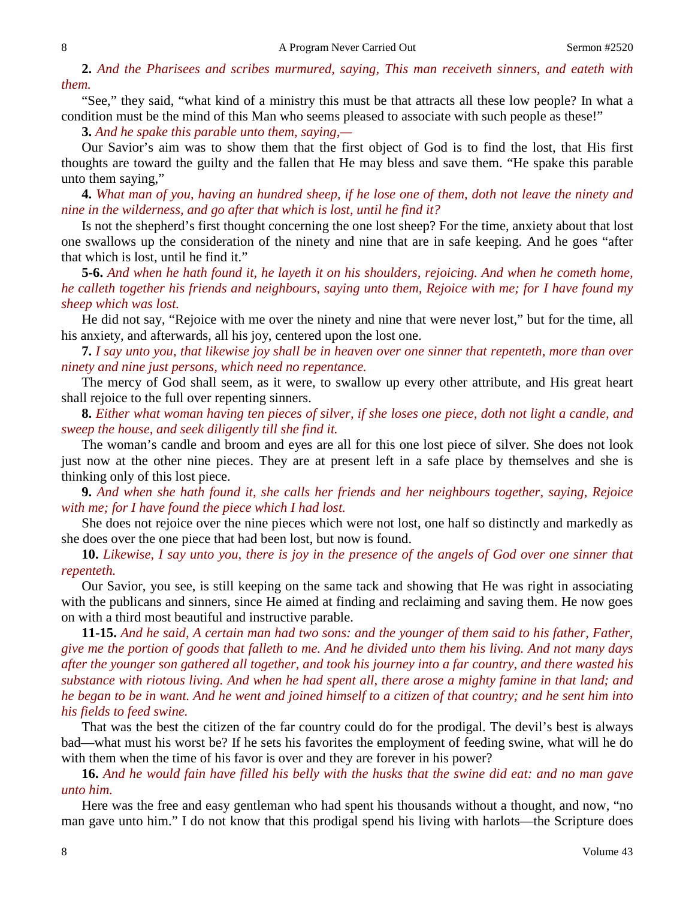**2.** *And the Pharisees and scribes murmured, saying, This man receiveth sinners, and eateth with them.* 

"See," they said, "what kind of a ministry this must be that attracts all these low people? In what a condition must be the mind of this Man who seems pleased to associate with such people as these!"

**3.** *And he spake this parable unto them, saying,—*

Our Savior's aim was to show them that the first object of God is to find the lost, that His first thoughts are toward the guilty and the fallen that He may bless and save them. "He spake this parable unto them saying,"

**4.** *What man of you, having an hundred sheep, if he lose one of them, doth not leave the ninety and nine in the wilderness, and go after that which is lost, until he find it?* 

Is not the shepherd's first thought concerning the one lost sheep? For the time, anxiety about that lost one swallows up the consideration of the ninety and nine that are in safe keeping. And he goes "after that which is lost, until he find it."

**5-6.** *And when he hath found it, he layeth it on his shoulders, rejoicing. And when he cometh home, he calleth together his friends and neighbours, saying unto them, Rejoice with me; for I have found my sheep which was lost.*

He did not say, "Rejoice with me over the ninety and nine that were never lost," but for the time, all his anxiety, and afterwards, all his joy, centered upon the lost one.

**7.** *I say unto you, that likewise joy shall be in heaven over one sinner that repenteth, more than over ninety and nine just persons, which need no repentance.* 

The mercy of God shall seem, as it were, to swallow up every other attribute, and His great heart shall rejoice to the full over repenting sinners.

**8.** *Either what woman having ten pieces of silver, if she loses one piece, doth not light a candle, and sweep the house, and seek diligently till she find it.*

The woman's candle and broom and eyes are all for this one lost piece of silver. She does not look just now at the other nine pieces. They are at present left in a safe place by themselves and she is thinking only of this lost piece.

**9.** *And when she hath found it, she calls her friends and her neighbours together, saying, Rejoice with me; for I have found the piece which I had lost.* 

She does not rejoice over the nine pieces which were not lost, one half so distinctly and markedly as she does over the one piece that had been lost, but now is found.

**10.** *Likewise, I say unto you, there is joy in the presence of the angels of God over one sinner that repenteth.* 

Our Savior, you see, is still keeping on the same tack and showing that He was right in associating with the publicans and sinners, since He aimed at finding and reclaiming and saving them. He now goes on with a third most beautiful and instructive parable.

**11-15.** *And he said, A certain man had two sons: and the younger of them said to his father, Father, give me the portion of goods that falleth to me. And he divided unto them his living. And not many days after the younger son gathered all together, and took his journey into a far country, and there wasted his substance with riotous living. And when he had spent all, there arose a mighty famine in that land; and he began to be in want. And he went and joined himself to a citizen of that country; and he sent him into his fields to feed swine.*

That was the best the citizen of the far country could do for the prodigal. The devil's best is always bad—what must his worst be? If he sets his favorites the employment of feeding swine, what will he do with them when the time of his favor is over and they are forever in his power?

**16.** *And he would fain have filled his belly with the husks that the swine did eat: and no man gave unto him.* 

Here was the free and easy gentleman who had spent his thousands without a thought, and now, "no man gave unto him." I do not know that this prodigal spend his living with harlots—the Scripture does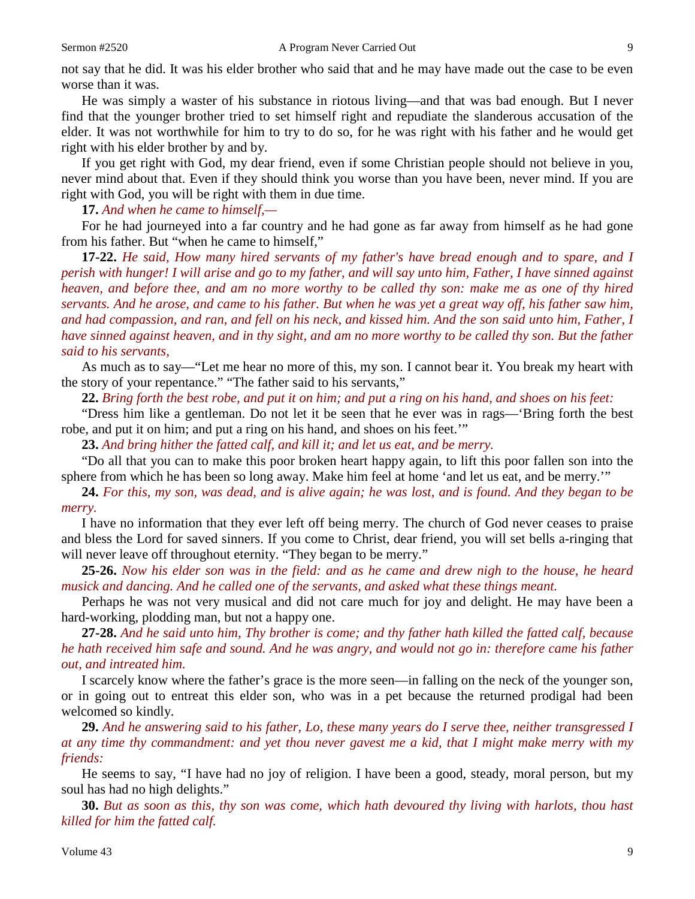not say that he did. It was his elder brother who said that and he may have made out the case to be even worse than it was.

He was simply a waster of his substance in riotous living—and that was bad enough. But I never find that the younger brother tried to set himself right and repudiate the slanderous accusation of the elder. It was not worthwhile for him to try to do so, for he was right with his father and he would get right with his elder brother by and by.

If you get right with God, my dear friend, even if some Christian people should not believe in you, never mind about that. Even if they should think you worse than you have been, never mind. If you are right with God, you will be right with them in due time.

**17.** *And when he came to himself,—*

For he had journeyed into a far country and he had gone as far away from himself as he had gone from his father. But "when he came to himself,"

**17-22.** *He said, How many hired servants of my father's have bread enough and to spare, and I perish with hunger! I will arise and go to my father, and will say unto him, Father, I have sinned against heaven, and before thee, and am no more worthy to be called thy son: make me as one of thy hired servants. And he arose, and came to his father. But when he was yet a great way off, his father saw him, and had compassion, and ran, and fell on his neck, and kissed him. And the son said unto him, Father, I have sinned against heaven, and in thy sight, and am no more worthy to be called thy son. But the father said to his servants,*

As much as to say—"Let me hear no more of this, my son. I cannot bear it. You break my heart with the story of your repentance." "The father said to his servants,"

**22.** *Bring forth the best robe, and put it on him; and put a ring on his hand, and shoes on his feet:*

"Dress him like a gentleman. Do not let it be seen that he ever was in rags—'Bring forth the best robe, and put it on him; and put a ring on his hand, and shoes on his feet.'"

**23.** *And bring hither the fatted calf, and kill it; and let us eat, and be merry.*

"Do all that you can to make this poor broken heart happy again, to lift this poor fallen son into the sphere from which he has been so long away. Make him feel at home 'and let us eat, and be merry.'"

**24.** *For this, my son, was dead, and is alive again; he was lost, and is found. And they began to be merry.* 

I have no information that they ever left off being merry. The church of God never ceases to praise and bless the Lord for saved sinners. If you come to Christ, dear friend, you will set bells a-ringing that will never leave off throughout eternity. "They began to be merry."

**25-26.** *Now his elder son was in the field: and as he came and drew nigh to the house, he heard musick and dancing. And he called one of the servants, and asked what these things meant.*

Perhaps he was not very musical and did not care much for joy and delight. He may have been a hard-working, plodding man, but not a happy one.

**27-28.** *And he said unto him, Thy brother is come; and thy father hath killed the fatted calf, because he hath received him safe and sound. And he was angry, and would not go in: therefore came his father out, and intreated him.*

I scarcely know where the father's grace is the more seen—in falling on the neck of the younger son, or in going out to entreat this elder son, who was in a pet because the returned prodigal had been welcomed so kindly.

**29.** *And he answering said to his father, Lo, these many years do I serve thee, neither transgressed I at any time thy commandment: and yet thou never gavest me a kid, that I might make merry with my friends:*

He seems to say, "I have had no joy of religion. I have been a good, steady, moral person, but my soul has had no high delights."

**30.** *But as soon as this, thy son was come, which hath devoured thy living with harlots, thou hast killed for him the fatted calf.*